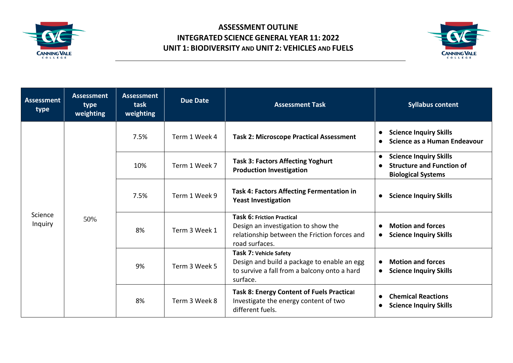

## **ASSESSMENT OUTLINE INTEGRATED SCIENCE GENERAL YEAR 11: 2022 UNIT 1: BIODIVERSITY AND UNIT 2: VEHICLES AND FUELS**



| Assessment<br>type | <b>Assessment</b><br>type<br>weighting | <b>Assessment</b><br>task<br>weighting | <b>Due Date</b> | <b>Assessment Task</b>                                                                                                                     | <b>Syllabus content</b>                                                                                     |
|--------------------|----------------------------------------|----------------------------------------|-----------------|--------------------------------------------------------------------------------------------------------------------------------------------|-------------------------------------------------------------------------------------------------------------|
| Science<br>Inquiry | 50%                                    | 7.5%                                   | Term 1 Week 4   | <b>Task 2: Microscope Practical Assessment</b>                                                                                             | <b>Science Inquiry Skills</b><br>Science as a Human Endeavour                                               |
|                    |                                        | 10%                                    | Term 1 Week 7   | <b>Task 3: Factors Affecting Yoghurt</b><br><b>Production Investigation</b>                                                                | <b>Science Inquiry Skills</b><br>$\bullet$<br><b>Structure and Function of</b><br><b>Biological Systems</b> |
|                    |                                        | 7.5%                                   | Term 1 Week 9   | <b>Task 4: Factors Affecting Fermentation in</b><br><b>Yeast Investigation</b>                                                             | <b>Science Inquiry Skills</b><br>$\bullet$                                                                  |
|                    |                                        | 8%                                     | Term 3 Week 1   | <b>Task 6: Friction Practical</b><br>Design an investigation to show the<br>relationship between the Friction forces and<br>road surfaces. | <b>Motion and forces</b><br>$\bullet$<br><b>Science Inquiry Skills</b><br>$\bullet$                         |
|                    |                                        | 9%                                     | Term 3 Week 5   | Task 7: Vehicle Safety<br>Design and build a package to enable an egg<br>to survive a fall from a balcony onto a hard<br>surface.          | <b>Motion and forces</b><br>$\bullet$<br><b>Science Inquiry Skills</b><br>$\bullet$                         |
|                    |                                        | 8%                                     | Term 3 Week 8   | <b>Task 8: Energy Content of Fuels Practical</b><br>Investigate the energy content of two<br>different fuels.                              | <b>Chemical Reactions</b><br><b>Science Inquiry Skills</b><br>$\bullet$                                     |